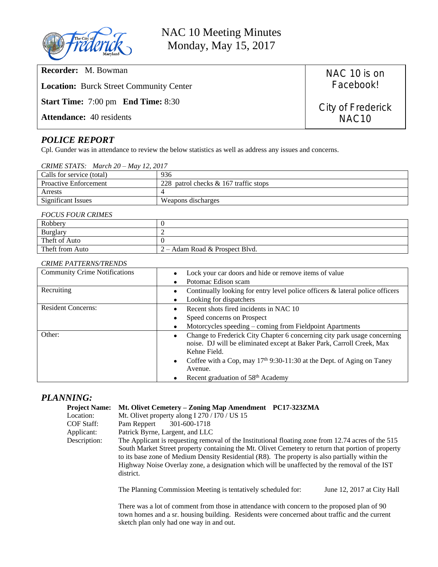

NAC 10 Meeting Minutes Monday, May 15, 2017

**Recorder:** M. Bowman

**Location:** Burck Street Community Center

**Start Time:** 7:00 pm **End Time:** 8:30

**Attendance:** 40 residents

## *POLICE REPORT*

Cpl. Gunder was in attendance to review the below statistics as well as address any issues and concerns.

| Calls for service (total)    | 936                                      |
|------------------------------|------------------------------------------|
| <b>Proactive Enforcement</b> | 228 patrol checks $\&$ 167 traffic stops |
| Arrests                      |                                          |
| <b>Significant Issues</b>    | Weapons discharges                       |

#### *FOCUS FOUR CRIMES*

| Robbery         |                                |
|-----------------|--------------------------------|
| Burglary        |                                |
| Theft of Auto   |                                |
| Theft from Auto | 2 – Adam Road & Prospect Blvd. |

### *CRIME PATTERNS/TRENDS*

| <b>Community Crime Notifications</b> | Lock your car doors and hide or remove items of value<br>Potomac Edison scam                                                                                      |  |
|--------------------------------------|-------------------------------------------------------------------------------------------------------------------------------------------------------------------|--|
| Recruiting                           | Continually looking for entry level police officers & lateral police officers                                                                                     |  |
|                                      | Looking for dispatchers                                                                                                                                           |  |
| <b>Resident Concerns:</b>            | Recent shots fired incidents in NAC 10                                                                                                                            |  |
|                                      | Speed concerns on Prospect                                                                                                                                        |  |
|                                      | Motorcycles speeding – coming from Fieldpoint Apartments                                                                                                          |  |
| Other:                               | Change to Frederick City Chapter 6 concerning city park usage concerning<br>noise. DJ will be eliminated except at Baker Park, Carroll Creek, Max<br>Kehne Field. |  |
|                                      | Coffee with a Cop, may $17th 9:30-11:30$ at the Dept. of Aging on Taney                                                                                           |  |
|                                      | Avenue.                                                                                                                                                           |  |
|                                      | Recent graduation of 58 <sup>th</sup> Academy                                                                                                                     |  |

## *PLANNING:*

| <b>Project Name:</b> | Mt. Olivet Cemetery – Zoning Map Amendment PC17-323ZMA                                             |  |  |  |  |  |
|----------------------|----------------------------------------------------------------------------------------------------|--|--|--|--|--|
| Location:            | Mt. Olivet property along I 270 / I70 / US 15                                                      |  |  |  |  |  |
| COF Staff:           | 301-600-1718<br>Pam Reppert                                                                        |  |  |  |  |  |
| Applicant:           | Patrick Byrne, Largent, and LLC                                                                    |  |  |  |  |  |
| Description:         | The Applicant is requesting removal of the Institutional floating zone from 12.74 acres of the 515 |  |  |  |  |  |
|                      | South Market Street property containing the Mt. Olivet Cemetery to return that portion of property |  |  |  |  |  |
|                      | to its base zone of Medium Density Residential (R8). The property is also partially within the     |  |  |  |  |  |
|                      | Highway Noise Overlay zone, a designation which will be unaffected by the removal of the IST       |  |  |  |  |  |
|                      | district.                                                                                          |  |  |  |  |  |

The Planning Commission Meeting is tentatively scheduled for: June 12, 2017 at City Hall

There was a lot of comment from those in attendance with concern to the proposed plan of 90 town homes and a sr. housing building. Residents were concerned about traffic and the current sketch plan only had one way in and out.

City of Frederick NAC10